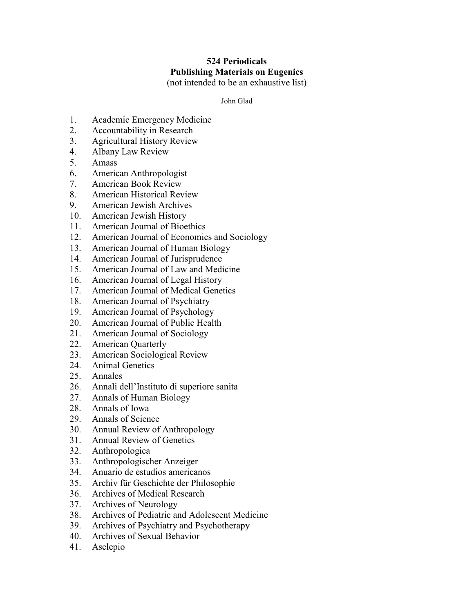## **524 Periodicals Publishing Materials on Eugenics** (not intended to be an exhaustive list)

John Glad

- 1. Academic Emergency Medicine
- 2. Accountability in Research
- 3. Agricultural History Review
- 4. Albany Law Review
- 5. Amass
- 6. American Anthropologist
- 7. American Book Review
- 8. American Historical Review
- 9. American Jewish Archives
- 10. American Jewish History
- 11. American Journal of Bioethics
- 12. American Journal of Economics and Sociology
- 13. American Journal of Human Biology
- 14. American Journal of Jurisprudence
- 15. American Journal of Law and Medicine
- 16. American Journal of Legal History
- 17. American Journal of Medical Genetics
- 18. American Journal of Psychiatry
- 19. American Journal of Psychology
- 20. American Journal of Public Health
- 21. American Journal of Sociology
- 22. American Quarterly
- 23. American Sociological Review
- 24. Animal Genetics
- 25. Annales
- 26. Annali dell'Instituto di superiore sanita
- 27. Annals of Human Biology
- 28. Annals of Iowa
- 29. Annals of Science
- 30. Annual Review of Anthropology
- 31. Annual Review of Genetics
- 32. Anthropologica
- 33. Anthropologischer Anzeiger
- 34. Anuario de estudios americanos
- 35. Archiv für Geschichte der Philosophie
- 36. Archives of Medical Research
- 37. Archives of Neurology
- 38. Archives of Pediatric and Adolescent Medicine
- 39. Archives of Psychiatry and Psychotherapy
- 40. Archives of Sexual Behavior
- 41. Asclepio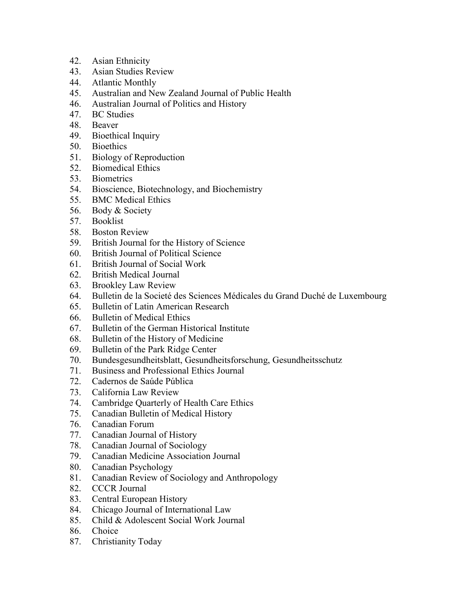- 42. Asian Ethnicity
- 43. Asian Studies Review
- 44. Atlantic Monthly
- 45. Australian and New Zealand Journal of Public Health
- 46. Australian Journal of Politics and History
- 47. BC Studies
- 48. Beaver
- 49. Bioethical Inquiry
- 50. Bioethics
- 51. Biology of Reproduction
- 52. Biomedical Ethics
- 53. Biometrics
- 54. Bioscience, Biotechnology, and Biochemistry
- 55. BMC Medical Ethics
- 56. Body & Society
- 57. Booklist
- 58. Boston Review
- 59. British Journal for the History of Science
- 60. British Journal of Political Science
- 61. British Journal of Social Work
- 62. British Medical Journal
- 63. Brookley Law Review
- 64. Bulletin de la Societé des Sciences Médicales du Grand Duché de Luxembourg
- 65. Bulletin of Latin American Research
- 66. Bulletin of Medical Ethics
- 67. Bulletin of the German Historical Institute
- 68. Bulletin of the History of Medicine
- 69. Bulletin of the Park Ridge Center
- 70. Bundesgesundheitsblatt, Gesundheitsforschung, Gesundheitsschutz
- 71. Business and Professional Ethics Journal
- 72. Cadernos de Saúde Pública
- 73. California Law Review
- 74. Cambridge Quarterly of Health Care Ethics
- 75. Canadian Bulletin of Medical History
- 76. Canadian Forum
- 77. Canadian Journal of History
- 78. Canadian Journal of Sociology
- 79. Canadian Medicine Association Journal
- 80. Canadian Psychology
- 81. Canadian Review of Sociology and Anthropology
- 82. CCCR Journal
- 83. Central European History
- 84. Chicago Journal of International Law
- 85. Child & Adolescent Social Work Journal
- 86. Choice
- 87. Christianity Today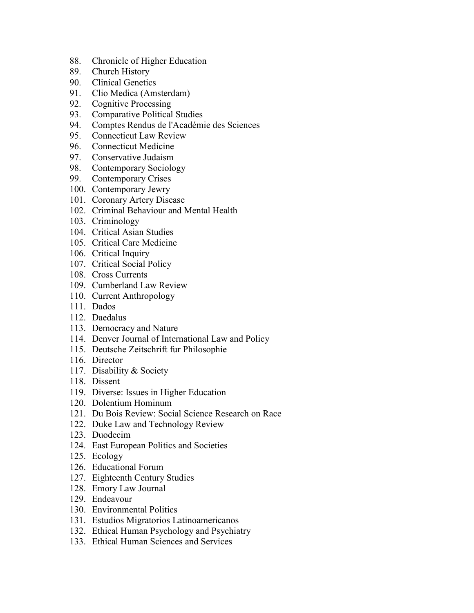- 88. Chronicle of Higher Education
- 89. Church History
- 90. Clinical Genetics
- 91. Clio Medica (Amsterdam)
- 92. Cognitive Processing
- 93. Comparative Political Studies
- 94. Comptes Rendus de l'Académie des Sciences
- 95. Connecticut Law Review
- 96. Connecticut Medicine
- 97. Conservative Judaism
- 98. Contemporary Sociology
- 99. Contemporary Crises
- 100. Contemporary Jewry
- 101. Coronary Artery Disease
- 102. Criminal Behaviour and Mental Health
- 103. Criminology
- 104. Critical Asian Studies
- 105. Critical Care Medicine
- 106. Critical Inquiry
- 107. Critical Social Policy
- 108. Cross Currents
- 109. Cumberland Law Review
- 110. Current Anthropology
- 111. Dados
- 112. Daedalus
- 113. Democracy and Nature
- 114. Denver Journal of International Law and Policy
- 115. Deutsche Zeitschrift fur Philosophie
- 116. Director
- 117. Disability & Society
- 118. Dissent
- 119. Diverse: Issues in Higher Education
- 120. Dolentium Hominum
- 121. Du Bois Review: Social Science Research on Race
- 122. Duke Law and Technology Review
- 123. Duodecim
- 124. East European Politics and Societies
- 125. Ecology
- 126. Educational Forum
- 127. Eighteenth Century Studies
- 128. Emory Law Journal
- 129. Endeavour
- 130. Environmental Politics
- 131. Estudios Migratorios Latinoamericanos
- 132. Ethical Human Psychology and Psychiatry
- 133. Ethical Human Sciences and Services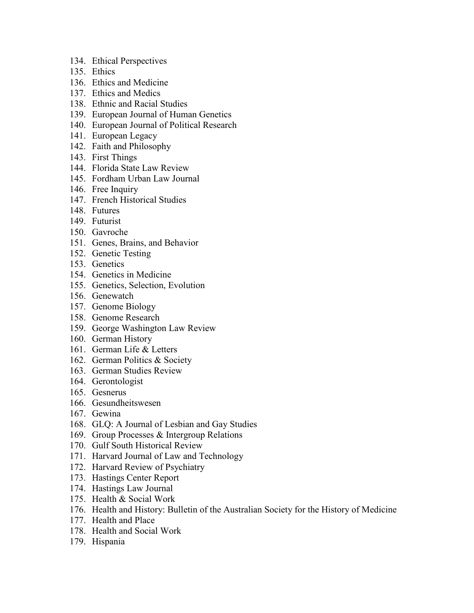- 134. Ethical Perspectives
- 135. Ethics
- 136. Ethics and Medicine
- 137. Ethics and Medics
- 138. Ethnic and Racial Studies
- 139. European Journal of Human Genetics
- 140. European Journal of Political Research
- 141. European Legacy
- 142. Faith and Philosophy
- 143. First Things
- 144. Florida State Law Review
- 145. Fordham Urban Law Journal
- 146. Free Inquiry
- 147. French Historical Studies
- 148. Futures
- 149. Futurist
- 150. Gavroche
- 151. Genes, Brains, and Behavior
- 152. Genetic Testing
- 153. Genetics
- 154. Genetics in Medicine
- 155. Genetics, Selection, Evolution
- 156. Genewatch
- 157. Genome Biology
- 158. Genome Research
- 159. George Washington Law Review
- 160. German History
- 161. German Life & Letters
- 162. German Politics & Society
- 163. German Studies Review
- 164. Gerontologist
- 165. Gesnerus
- 166. Gesundheitswesen
- 167. Gewina
- 168. GLQ: A Journal of Lesbian and Gay Studies
- 169. Group Processes & Intergroup Relations
- 170. Gulf South Historical Review
- 171. Harvard Journal of Law and Technology
- 172. Harvard Review of Psychiatry
- 173. Hastings Center Report
- 174. Hastings Law Journal
- 175. Health & Social Work
- 176. Health and History: Bulletin of the Australian Society for the History of Medicine
- 177. Health and Place
- 178. Health and Social Work
- 179. Hispania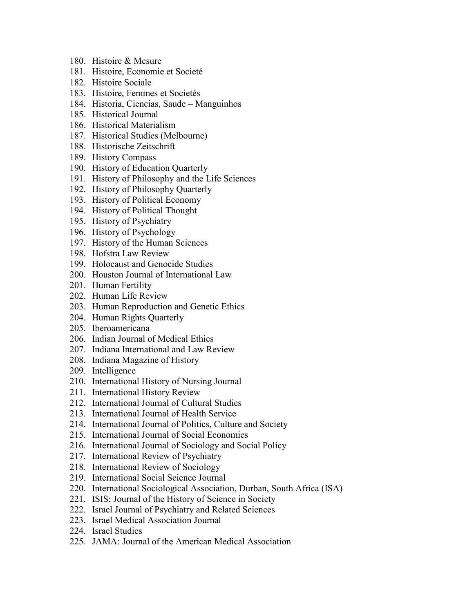- 180. Histoire & Mesure
- 181. Histoire, Economie et Societé
- 182. Histoire Sociale
- 183. Histoire, Femmes et Societés
- 184. Historia, Ciencias, Saude Manguinhos
- 185. Historical Journal
- 186. Historical Materialism
- 187. Historical Studies (Melbourne)
- 188. Historische Zeitschrift
- 189. History Compass
- 190. History of Education Quarterly
- 191. History of Philosophy and the Life Sciences
- 192. History of Philosophy Quarterly
- 193. History of Political Economy
- 194. History of Political Thought
- 195. History of Psychiatry
- 196. History of Psychology
- 197. History of the Human Sciences
- 198. Hofstra Law Review
- 199. Holocaust and Genocide Studies
- 200. Houston Journal of International Law
- 201. Human Fertility
- 202. Human Life Review
- 203. Human Reproduction and Genetic Ethics
- 204. Human Rights Quarterly
- 205. Iberoamericana
- 206. Indian Journal of Medical Ethics
- 207. Indiana International and Law Review
- 208. Indiana Magazine of History
- 209. Intelligence
- 210. International History of Nursing Journal
- 211. International History Review
- 212. International Journal of Cultural Studies
- 213. International Journal of Health Service
- 214. International Journal of Politics, Culture and Society
- 215. International Journal of Social Economics
- 216. International Journal of Sociology and Social Policy
- 217. International Review of Psychiatry
- 218. International Review of Sociology
- 219. International Social Science Journal
- 220. International Sociological Association, Durban, South Africa (ISA)
- 221. ISIS: Journal of the History of Science in Society
- 222. Israel Journal of Psychiatry and Related Sciences
- 223. Israel Medical Association Journal
- 224. Israel Studies
- 225. JAMA: Journal of the American Medical Association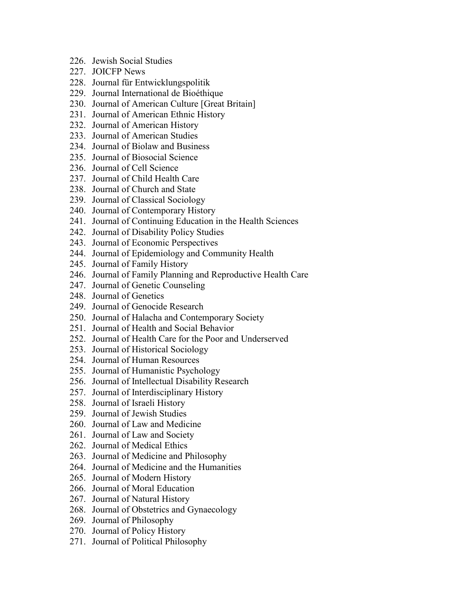- 226. Jewish Social Studies
- 227. JOICFP News
- 228. Journal für Entwicklungspolitik
- 229. Journal International de Bioéthique
- 230. Journal of American Culture [Great Britain]
- 231. Journal of American Ethnic History
- 232. Journal of American History
- 233. Journal of American Studies
- 234. Journal of Biolaw and Business
- 235. Journal of Biosocial Science
- 236. Journal of Cell Science
- 237. Journal of Child Health Care
- 238. Journal of Church and State
- 239. Journal of Classical Sociology
- 240. Journal of Contemporary History
- 241. Journal of Continuing Education in the Health Sciences
- 242. Journal of Disability Policy Studies
- 243. Journal of Economic Perspectives
- 244. Journal of Epidemiology and Community Health
- 245. Journal of Family History
- 246. Journal of Family Planning and Reproductive Health Care
- 247. Journal of Genetic Counseling
- 248. Journal of Genetics
- 249. Journal of Genocide Research
- 250. Journal of Halacha and Contemporary Society
- 251. Journal of Health and Social Behavior
- 252. Journal of Health Care for the Poor and Underserved
- 253. Journal of Historical Sociology
- 254. Journal of Human Resources
- 255. Journal of Humanistic Psychology
- 256. Journal of Intellectual Disability Research
- 257. Journal of Interdisciplinary History
- 258. Journal of Israeli History
- 259. Journal of Jewish Studies
- 260. Journal of Law and Medicine
- 261. Journal of Law and Society
- 262. Journal of Medical Ethics
- 263. Journal of Medicine and Philosophy
- 264. Journal of Medicine and the Humanities
- 265. Journal of Modern History
- 266. Journal of Moral Education
- 267. Journal of Natural History
- 268. Journal of Obstetrics and Gynaecology
- 269. Journal of Philosophy
- 270. Journal of Policy History
- 271. Journal of Political Philosophy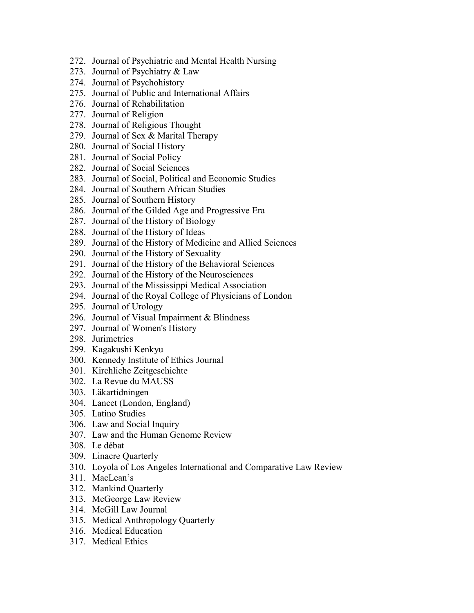- 272. Journal of Psychiatric and Mental Health Nursing
- 273. Journal of Psychiatry & Law
- 274. Journal of Psychohistory
- 275. Journal of Public and International Affairs
- 276. Journal of Rehabilitation
- 277. Journal of Religion
- 278. Journal of Religious Thought
- 279. Journal of Sex & Marital Therapy
- 280. Journal of Social History
- 281. Journal of Social Policy
- 282. Journal of Social Sciences
- 283. Journal of Social, Political and Economic Studies
- 284. Journal of Southern African Studies
- 285. Journal of Southern History
- 286. Journal of the Gilded Age and Progressive Era
- 287. Journal of the History of Biology
- 288. Journal of the History of Ideas
- 289. Journal of the History of Medicine and Allied Sciences
- 290. Journal of the History of Sexuality
- 291. Journal of the History of the Behavioral Sciences
- 292. Journal of the History of the Neurosciences
- 293. Journal of the Mississippi Medical Association
- 294. Journal of the Royal College of Physicians of London
- 295. Journal of Urology
- 296. Journal of Visual Impairment & Blindness
- 297. Journal of Women's History
- 298. Jurimetrics
- 299. Kagakushi Kenkyu
- 300. Kennedy Institute of Ethics Journal
- 301. Kirchliche Zeitgeschichte
- 302. La Revue du MAUSS
- 303. Läkartidningen
- 304. Lancet (London, England)
- 305. Latino Studies
- 306. Law and Social Inquiry
- 307. Law and the Human Genome Review
- 308. Le débat
- 309. Linacre Quarterly
- 310. Loyola of Los Angeles International and Comparative Law Review
- 311. MacLean's
- 312. Mankind Quarterly
- 313. McGeorge Law Review
- 314. McGill Law Journal
- 315. Medical Anthropology Quarterly
- 316. Medical Education
- 317. Medical Ethics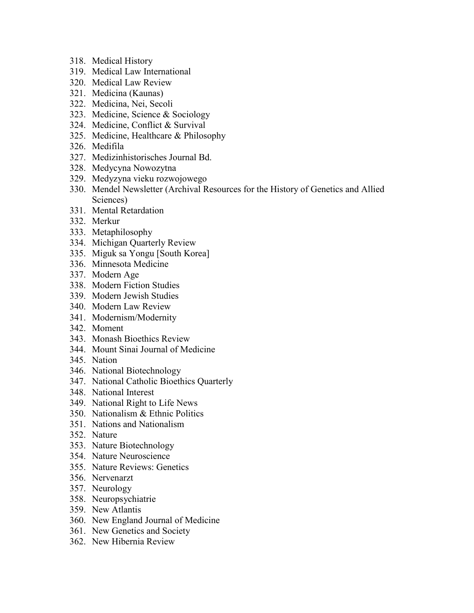- 318. Medical History
- 319. Medical Law International
- 320. Medical Law Review
- 321. Medicina (Kaunas)
- 322. Medicina, Nei, Secoli
- 323. Medicine, Science & Sociology
- 324. Medicine, Conflict & Survival
- 325. Medicine, Healthcare & Philosophy
- 326. Medifila
- 327. Medizinhistorisches Journal Bd.
- 328. Medycyna Nowozytna
- 329. Medyzyna vieku rozwojowego
- 330. Mendel Newsletter (Archival Resources for the History of Genetics and Allied Sciences)
- 331. Mental Retardation
- 332. Merkur
- 333. Metaphilosophy
- 334. Michigan Quarterly Review
- 335. Miguk sa Yongu [South Korea]
- 336. Minnesota Medicine
- 337. Modern Age
- 338. Modern Fiction Studies
- 339. Modern Jewish Studies
- 340. Modern Law Review
- 341. Modernism/Modernity
- 342. Moment
- 343. Monash Bioethics Review
- 344. Mount Sinai Journal of Medicine
- 345. Nation
- 346. National Biotechnology
- 347. National Catholic Bioethics Quarterly
- 348. National Interest
- 349. National Right to Life News
- 350. Nationalism & Ethnic Politics
- 351. Nations and Nationalism
- 352. Nature
- 353. Nature Biotechnology
- 354. Nature Neuroscience
- 355. Nature Reviews: Genetics
- 356. Nervenarzt
- 357. Neurology
- 358. Neuropsychiatrie
- 359. New Atlantis
- 360. New England Journal of Medicine
- 361. New Genetics and Society
- 362. New Hibernia Review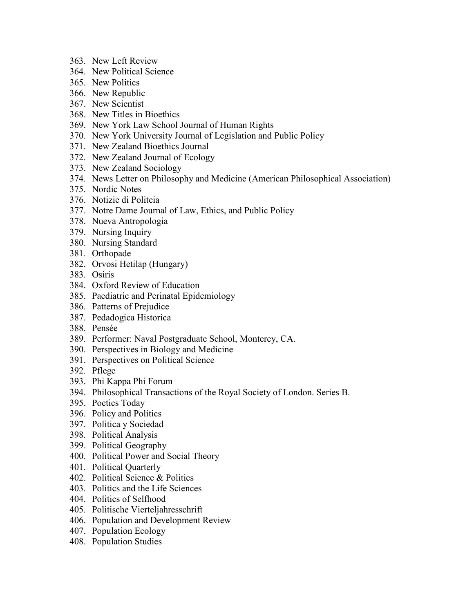- 363. New Left Review
- 364. New Political Science
- 365. New Politics
- 366. New Republic
- 367. New Scientist
- 368. New Titles in Bioethics
- 369. New York Law School Journal of Human Rights
- 370. New York University Journal of Legislation and Public Policy
- 371. New Zealand Bioethics Journal
- 372. New Zealand Journal of Ecology
- 373. New Zealand Sociology
- 374. News Letter on Philosophy and Medicine (American Philosophical Association)
- 375. Nordic Notes
- 376. Notizie di Politeia
- 377. Notre Dame Journal of Law, Ethics, and Public Policy
- 378. Nueva Antropologia
- 379. Nursing Inquiry
- 380. Nursing Standard
- 381. Orthopade
- 382. Orvosi Hetilap (Hungary)
- 383. Osiris
- 384. Oxford Review of Education
- 385. Paediatric and Perinatal Epidemiology
- 386. Patterns of Prejudice
- 387. Pedadogica Historica
- 388. Pensée
- 389. Performer: Naval Postgraduate School, Monterey, CA.
- 390. Perspectives in Biology and Medicine
- 391. Perspectives on Political Science
- 392. Pflege
- 393. Phi Kappa Phi Forum
- 394. Philosophical Transactions of the Royal Society of London. Series B.
- 395. Poetics Today
- 396. Policy and Politics
- 397. Politica y Sociedad
- 398. Political Analysis
- 399. Political Geography
- 400. Political Power and Social Theory
- 401. Political Quarterly
- 402. Political Science & Politics
- 403. Politics and the Life Sciences
- 404. Politics of Selfhood
- 405. Politische Vierteljahresschrift
- 406. Population and Development Review
- 407. Population Ecology
- 408. Population Studies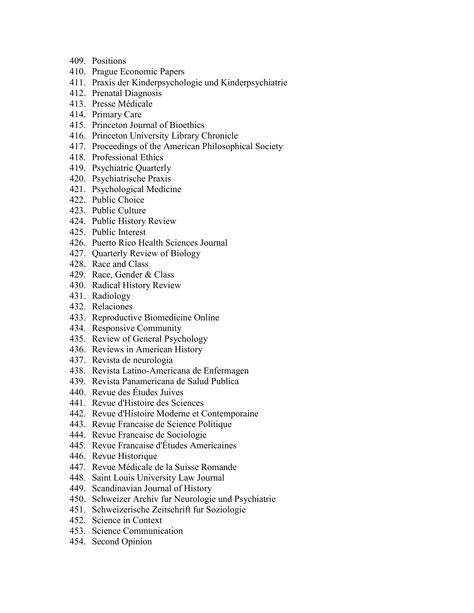- 409. Positions
- 410. Prague Economic Papers
- 411. Praxis der Kinderpsychologie und Kinderpsychiatrie
- 412. Prenatal Diagnosis
- 413. Presse Médicale
- 414. Primary Care
- 415. Princeton Journal of Bioethics
- 416. Princeton University Library Chronicle
- 417. Proceedings of the American Philosophical Society
- 418. Professional Ethics
- 419. Psychiatric Quarterly
- 420. Psychiatrische Praxis
- 421. Psychological Medicine
- 422. Public Choice
- 423. Public Culture
- 424. Public History Review
- 425. Public Interest
- 426. Puerto Rico Health Sciences Journal
- 427. Quarterly Review of Biology
- 428. Race and Class
- 429. Race, Gender & Class
- 430. Radical History Review
- 431. Radiology
- 432. Relaciones
- 433. Reproductive Biomedicine Online
- 434. Responsive Community
- 435. Review of General Psychology
- 436. Reviews in American History
- 437. Revista de neurologia
- 438. Revista Latino-Americana de Enfermagen
- 439. Revista Panamericana de Salud Publica
- 440. Revue des Études Juives
- 441. Revue d'Histoire des Sciences
- 442. Revue d'Histoire Moderne et Contemporaine
- 443. Revue Francaise de Science Politique
- 444. Revue Francaise de Sociologie
- 445. Revue Francaise d'Études Americaines
- 446. Revue Historique
- 447. Revue Médicale de la Suisse Romande
- 448. Saint Louis University Law Journal
- 449. Scandinavian Journal of History
- 450. Schweizer Archiv fur Neurologie und Psychiatrie
- 451. Schweizerische Zeitschrift fur Soziologie
- 452. Science in Context
- 453. Science Communication
- 454. Second Opinion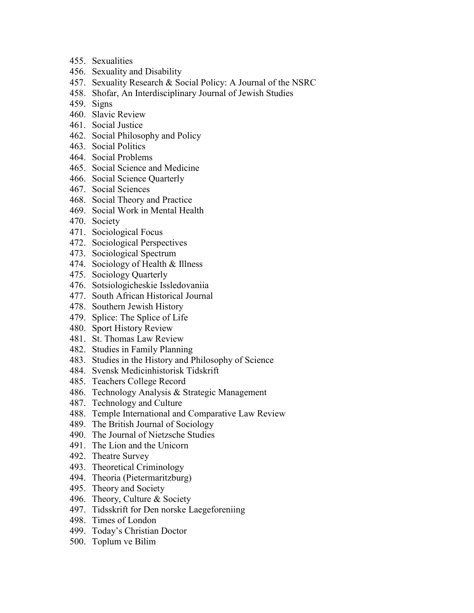- 455. Sexualities
- 456. Sexuality and Disability
- 457. Sexuality Research & Social Policy: A Journal of the NSRC
- 458. Shofar, An Interdisciplinary Journal of Jewish Studies
- 459. Signs
- 460. Slavic Review
- 461. Social Justice
- 462. Social Philosophy and Policy
- 463. Social Politics
- 464. Social Problems
- 465. Social Science and Medicine
- 466. Social Science Quarterly
- 467. Social Sciences
- 468. Social Theory and Practice
- 469. Social Work in Mental Health
- 470. Society
- 471. Sociological Focus
- 472. Sociological Perspectives
- 473. Sociological Spectrum
- 474. Sociology of Health & Illness
- 475. Sociology Quarterly
- 476. Sotsiologicheskie Issledovaniia
- 477. South African Historical Journal
- 478. Southern Jewish History
- 479. Splice: The Splice of Life
- 480. Sport History Review
- 481. St. Thomas Law Review
- 482. Studies in Family Planning
- 483. Studies in the History and Philosophy of Science
- 484. Svensk Medicinhistorisk Tidskrift
- 485. Teachers College Record
- 486. Technology Analysis & Strategic Management
- 487. Technology and Culture
- 488. Temple International and Comparative Law Review
- 489. The British Journal of Sociology
- 490. The Journal of Nietzsche Studies
- 491. The Lion and the Unicorn
- 492. Theatre Survey
- 493. Theoretical Criminology
- 494. Theoria (Pietermaritzburg)
- 495. Theory and Society
- 496. Theory, Culture & Society
- 497. Tidsskrift for Den norske Laegeforeniing
- 498. Times of London
- 499. Today's Christian Doctor
- 500. Toplum ve Bilim